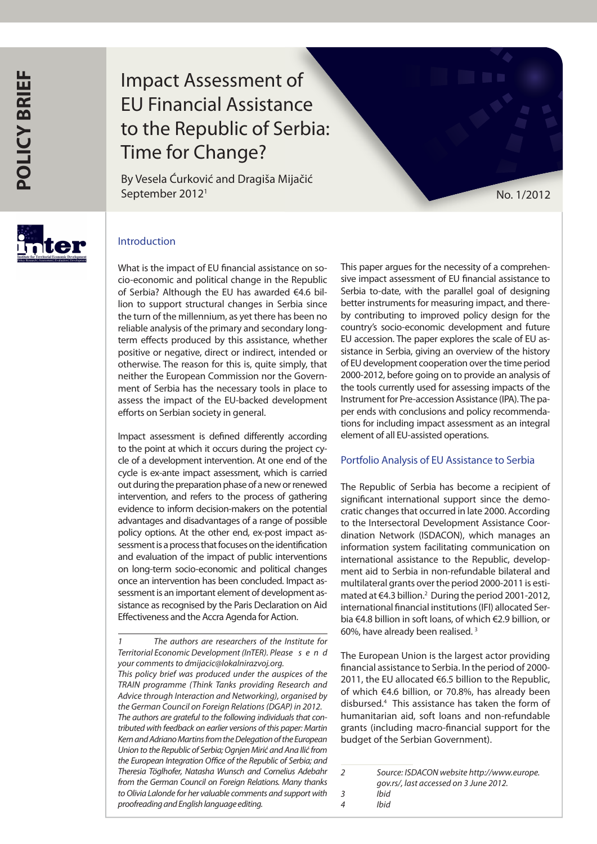# Impact Assessment of EU Financial Assistance to the Republic of Serbia: Time for Change?

By Vesela Ćurković and Dragiša Mijačić September 2012<sup>1</sup> No. 1/2012



## Introduction

What is the impact of EU financial assistance on socio-economic and political change in the Republic of Serbia? Although the EU has awarded €4.6 billion to support structural changes in Serbia since the turn of the millennium, as yet there has been no reliable analysis of the primary and secondary longterm effects produced by this assistance, whether positive or negative, direct or indirect, intended or otherwise. The reason for this is, quite simply, that neither the European Commission nor the Government of Serbia has the necessary tools in place to assess the impact of the EU-backed development efforts on Serbian society in general.

Impact assessment is defined differently according to the point at which it occurs during the project cycle of a development intervention. At one end of the cycle is ex-ante impact assessment, which is carried out during the preparation phase of a new or renewed intervention, and refers to the process of gathering evidence to inform decision-makers on the potential advantages and disadvantages of a range of possible policy options. At the other end, ex-post impact assessment is a process that focuses on the identification and evaluation of the impact of public interventions on long-term socio-economic and political changes once an intervention has been concluded. Impact assessment is an important element of development assistance as recognised by the Paris Declaration on Aid Effectiveness and the Accra Agenda for Action.

This paper argues for the necessity of a comprehensive impact assessment of EU financial assistance to Serbia to-date, with the parallel goal of designing better instruments for measuring impact, and thereby contributing to improved policy design for the country's socio-economic development and future EU accession. The paper explores the scale of EU assistance in Serbia, giving an overview of the history of EU development cooperation over the time period 2000-2012, before going on to provide an analysis of the tools currently used for assessing impacts of the Instrument for Pre-accession Assistance (IPA). The paper ends with conclusions and policy recommendations for including impact assessment as an integral element of all EU-assisted operations.

### Portfolio Analysis of EU Assistance to Serbia

The Republic of Serbia has become a recipient of significant international support since the democratic changes that occurred in late 2000. According to the Intersectoral Development Assistance Coordination Network (ISDACON), which manages an information system facilitating communication on international assistance to the Republic, development aid to Serbia in non-refundable bilateral and multilateral grants over the period 2000-2011 is estimated at €4.3 billion.2 During the period 2001-2012, international financial institutions (IFI) allocated Serbia €4.8 billion in soft loans, of which €2.9 billion, or 60%, have already been realised. 3

The European Union is the largest actor providing financial assistance to Serbia. In the period of 2000- 2011, the EU allocated €6.5 billion to the Republic, of which €4.6 billion, or 70.8%, has already been disbursed.4 This assistance has taken the form of humanitarian aid, soft loans and non-refundable grants (including macro-financial support for the budget of the Serbian Government).

*<sup>1</sup> The authors are researchers of the Institute for Territorial Economic Development (InTER). Please s e n d your comments to dmijacic@lokalnirazvoj.org. This policy brief was produced under the auspices of the TRAIN programme (Think Tanks providing Research and Advice through Interaction and Networking), organised by the German Council on Foreign Relations (DGAP) in 2012. The authors are grateful to the following individuals that contributed with feedback on earlier versions of this paper: Martin Kern and Adriano Martins from the Delegation of the European Union to the Republic of Serbia; Ognjen Mirić and Ana Ilić from the European Integration Office of the Republic of Serbia; and Theresia Töglhofer, Natasha Wunsch and Cornelius Adebahr from the German Council on Foreign Relations. Many thanks to Olivia Lalonde for her valuable comments and support with proofreading and English language editing.*

*<sup>2</sup> Source: ISDACON website http://www.europe. gov.rs/, last accessed on 3 June 2012. 3 Ibid*

*<sup>4</sup> Ibid*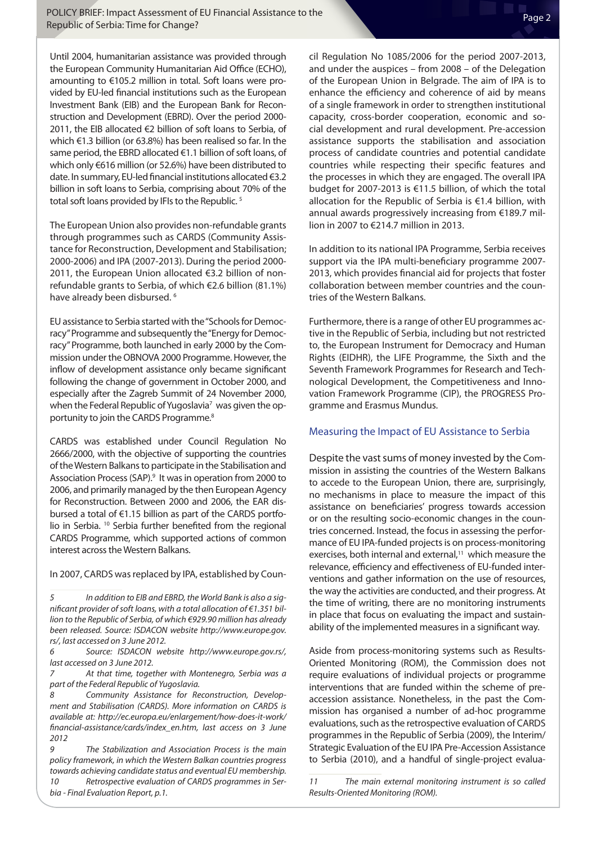Until 2004, humanitarian assistance was provided through the European Community Humanitarian Aid Office (ECHO), amounting to €105.2 million in total. Soft loans were provided by EU-led financial institutions such as the European Investment Bank (EIB) and the European Bank for Reconstruction and Development (EBRD). Over the period 2000- 2011, the EIB allocated €2 billion of soft loans to Serbia, of which €1.3 billion (or 63.8%) has been realised so far. In the same period, the EBRD allocated €1.1 billion of soft loans, of which only €616 million (or 52.6%) have been distributed to date. In summary, EU-led financial institutions allocated €3.2 billion in soft loans to Serbia, comprising about 70% of the total soft loans provided by IFIs to the Republic.<sup>5</sup>

The European Union also provides non-refundable grants through programmes such as CARDS (Community Assistance for Reconstruction, Development and Stabilisation; 2000-2006) and IPA (2007-2013). During the period 2000- 2011, the European Union allocated €3.2 billion of nonrefundable grants to Serbia, of which €2.6 billion (81.1%) have already been disbursed.<sup>6</sup>

EU assistance to Serbia started with the "Schools for Democracy" Programme and subsequently the "Energy for Democracy" Programme, both launched in early 2000 by the Commission under the OBNOVA 2000 Programme. However, the inflow of development assistance only became significant following the change of government in October 2000, and especially after the Zagreb Summit of 24 November 2000, when the Federal Republic of Yugoslavia<sup>7</sup> was given the opportunity to join the CARDS Programme.<sup>8</sup>

CARDS was established under Council Regulation No 2666/2000, with the objective of supporting the countries of the Western Balkans to participate in the Stabilisation and Association Process (SAP).<sup>9</sup> It was in operation from 2000 to 2006, and primarily managed by the then European Agency for Reconstruction. Between 2000 and 2006, the EAR disbursed a total of €1.15 billion as part of the CARDS portfolio in Serbia. 10 Serbia further benefited from the regional CARDS Programme, which supported actions of common interest across the Western Balkans.

In 2007, CARDS was replaced by IPA, established by Coun-

*6 Source: ISDACON website http://www.europe.gov.rs/, last accessed on 3 June 2012.*

*7 At that time, together with Montenegro, Serbia was a part of the Federal Republic of Yugoslavia.*

*8 Community Assistance for Reconstruction, Development and Stabilisation (CARDS). More information on CARDS is available at: http://ec.europa.eu/enlargement/how-does-it-work/ financial-assistance/cards/index\_en.htm, last access on 3 June 2012*

*9 The Stabilization and Association Process is the main policy framework, in which the Western Balkan countries progress towards achieving candidate status and eventual EU membership. 10 Retrospective evaluation of CARDS programmes in Serbia - Final Evaluation Report, p.1.*

cil Regulation No 1085/2006 for the period 2007-2013, and under the auspices – from 2008 – of the Delegation of the European Union in Belgrade. The aim of IPA is to enhance the efficiency and coherence of aid by means of a single framework in order to strengthen institutional capacity, cross-border cooperation, economic and social development and rural development. Pre-accession assistance supports the stabilisation and association process of candidate countries and potential candidate countries while respecting their specific features and the processes in which they are engaged. The overall IPA budget for 2007-2013 is €11.5 billion, of which the total allocation for the Republic of Serbia is €1.4 billion, with annual awards progressively increasing from €189.7 million in 2007 to €214.7 million in 2013.

In addition to its national IPA Programme, Serbia receives support via the IPA multi-beneficiary programme 2007- 2013, which provides financial aid for projects that foster collaboration between member countries and the countries of the Western Balkans.

Furthermore, there is a range of other EU programmes active in the Republic of Serbia, including but not restricted to, the European Instrument for Democracy and Human Rights (EIDHR), the LIFE Programme, the Sixth and the Seventh Framework Programmes for Research and Technological Development, the Competitiveness and Innovation Framework Programme (CIP), the PROGRESS Programme and Erasmus Mundus.

## Measuring the Impact of EU Assistance to Serbia

Despite the vast sums of money invested by the Commission in assisting the countries of the Western Balkans to accede to the European Union, there are, surprisingly, no mechanisms in place to measure the impact of this assistance on beneficiaries' progress towards accession or on the resulting socio-economic changes in the countries concerned. Instead, the focus in assessing the performance of EU IPA-funded projects is on process-monitoring exercises, both internal and external,<sup>11</sup> which measure the relevance, efficiency and effectiveness of EU-funded interventions and gather information on the use of resources, the way the activities are conducted, and their progress. At the time of writing, there are no monitoring instruments in place that focus on evaluating the impact and sustainability of the implemented measures in a significant way.

Aside from process-monitoring systems such as Results-Oriented Monitoring (ROM), the Commission does not require evaluations of individual projects or programme interventions that are funded within the scheme of preaccession assistance. Nonetheless, in the past the Commission has organised a number of ad-hoc programme evaluations, such as the retrospective evaluation of CARDS programmes in the Republic of Serbia (2009), the Interim/ Strategic Evaluation of the EU IPA Pre-Accession Assistance to Serbia (2010), and a handful of single-project evalua-

*11 The main external monitoring instrument is so called Results-Oriented Monitoring (ROM).*

*<sup>5</sup> In addition to EIB and EBRD, the World Bank is also a significant provider of soft loans, with a total allocation of €1.351 billion to the Republic of Serbia, of which €929.90 million has already been released. Source: ISDACON website http://www.europe.gov. rs/, last accessed on 3 June 2012.*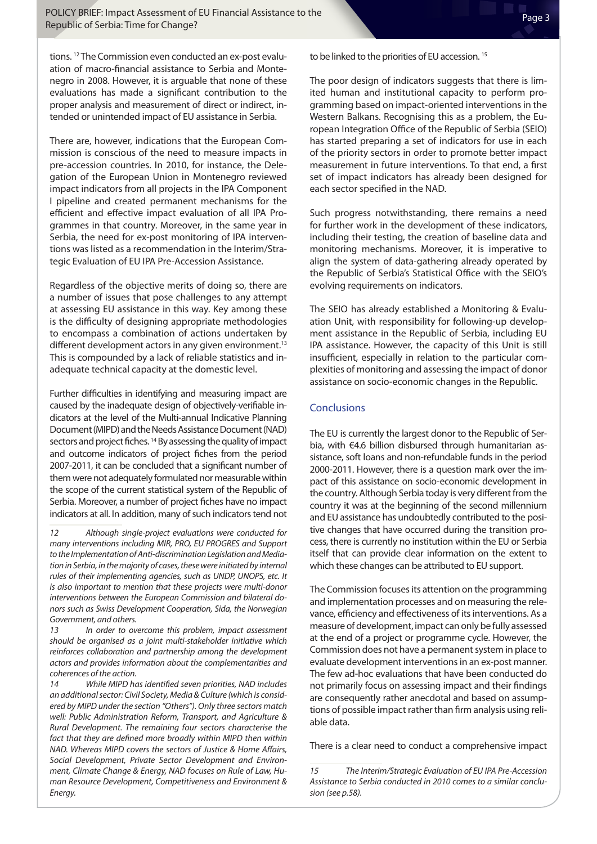tions. 12 The Commission even conducted an ex-post evaluation of macro-financial assistance to Serbia and Montenegro in 2008. However, it is arguable that none of these evaluations has made a significant contribution to the proper analysis and measurement of direct or indirect, intended or unintended impact of EU assistance in Serbia.

There are, however, indications that the European Commission is conscious of the need to measure impacts in pre-accession countries. In 2010, for instance, the Delegation of the European Union in Montenegro reviewed impact indicators from all projects in the IPA Component I pipeline and created permanent mechanisms for the efficient and effective impact evaluation of all IPA Programmes in that country. Moreover, in the same year in Serbia, the need for ex-post monitoring of IPA interventions was listed as a recommendation in the Interim/Strategic Evaluation of EU IPA Pre-Accession Assistance.

Regardless of the objective merits of doing so, there are a number of issues that pose challenges to any attempt at assessing EU assistance in this way. Key among these is the difficulty of designing appropriate methodologies to encompass a combination of actions undertaken by different development actors in any given environment.<sup>13</sup> This is compounded by a lack of reliable statistics and inadequate technical capacity at the domestic level.

Further difficulties in identifying and measuring impact are caused by the inadequate design of objectively-verifiable indicators at the level of the Multi-annual Indicative Planning Document (MIPD) and the Needs Assistance Document (NAD) sectors and project fiches.<sup>14</sup> By assessing the quality of impact and outcome indicators of project fiches from the period 2007-2011, it can be concluded that a significant number of them were not adequately formulated nor measurable within the scope of the current statistical system of the Republic of Serbia. Moreover, a number of project fiches have no impact indicators at all. In addition, many of such indicators tend not

*12 Although single-project evaluations were conducted for many interventions including MIR, PRO, EU PROGRES and Support to the Implementation of Anti-discrimination Legislation and Mediation in Serbia, in the majority of cases, these were initiated by internal rules of their implementing agencies, such as UNDP, UNOPS, etc. It is also important to mention that these projects were multi-donor interventions between the European Commission and bilateral donors such as Swiss Development Cooperation, Sida, the Norwegian Government, and others.*

*13 In order to overcome this problem, impact assessment should be organised as a joint multi-stakeholder initiative which reinforces collaboration and partnership among the development actors and provides information about the complementarities and coherences of the action.*

*14 While MIPD has identified seven priorities, NAD includes an additional sector: Civil Society, Media & Culture (which is considered by MIPD under the section "Others"). Only three sectors match well: Public Administration Reform, Transport, and Agriculture & Rural Development. The remaining four sectors characterise the fact that they are defined more broadly within MIPD then within NAD. Whereas MIPD covers the sectors of Justice & Home Affairs, Social Development, Private Sector Development and Environment, Climate Change & Energy, NAD focuses on Rule of Law, Human Resource Development, Competitiveness and Environment & Energy.*

to be linked to the priorities of EU accession.<sup>15</sup>

The poor design of indicators suggests that there is limited human and institutional capacity to perform programming based on impact-oriented interventions in the Western Balkans. Recognising this as a problem, the European Integration Office of the Republic of Serbia (SEIO) has started preparing a set of indicators for use in each of the priority sectors in order to promote better impact measurement in future interventions. To that end, a first set of impact indicators has already been designed for each sector specified in the NAD.

Such progress notwithstanding, there remains a need for further work in the development of these indicators, including their testing, the creation of baseline data and monitoring mechanisms. Moreover, it is imperative to align the system of data-gathering already operated by the Republic of Serbia's Statistical Office with the SEIO's evolving requirements on indicators.

The SEIO has already established a Monitoring & Evaluation Unit, with responsibility for following-up development assistance in the Republic of Serbia, including EU IPA assistance. However, the capacity of this Unit is still insufficient, especially in relation to the particular complexities of monitoring and assessing the impact of donor assistance on socio-economic changes in the Republic.

#### **Conclusions**

The EU is currently the largest donor to the Republic of Serbia, with €4.6 billion disbursed through humanitarian assistance, soft loans and non-refundable funds in the period 2000-2011. However, there is a question mark over the impact of this assistance on socio-economic development in the country. Although Serbia today is very different from the country it was at the beginning of the second millennium and EU assistance has undoubtedly contributed to the positive changes that have occurred during the transition process, there is currently no institution within the EU or Serbia itself that can provide clear information on the extent to which these changes can be attributed to EU support.

The Commission focuses its attention on the programming and implementation processes and on measuring the relevance, efficiency and effectiveness of its interventions. As a measure of development, impact can only be fully assessed at the end of a project or programme cycle. However, the Commission does not have a permanent system in place to evaluate development interventions in an ex-post manner. The few ad-hoc evaluations that have been conducted do not primarily focus on assessing impact and their findings are consequently rather anecdotal and based on assumptions of possible impact rather than firm analysis using reliable data.

There is a clear need to conduct a comprehensive impact

*<sup>15</sup> The Interim/Strategic Evaluation of EU IPA Pre-Accession Assistance to Serbia conducted in 2010 comes to a similar conclusion (see p.58).*